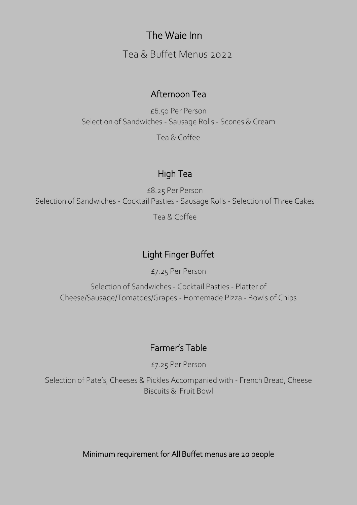# The Waie Inn

Tea & Buffet Menus 2022

### Afternoon Tea

£6.50 Per Person Selection of Sandwiches - Sausage Rolls - Scones & Cream Tea & Coffee

### High Tea

£8.25 Per Person Selection of Sandwiches - Cocktail Pasties - Sausage Rolls - Selection of Three Cakes

Tea & Coffee

## Light Finger Buffet

£7.25 Per Person

Selection of Sandwiches - Cocktail Pasties - Platter of Cheese/Sausage/Tomatoes/Grapes - Homemade Pizza - Bowls of Chips

#### $\overline{ }$ Farmer's Table

 $\overline{1}$ £7.25 Per Person

 $\frac{1}{2}$ Selection of Pate's, Cheeses & Pickles Accompanied with - French Bread, Cheese Biscuits & Fruit Bowl

Minimum requirement for All Buffet menus are 20 people